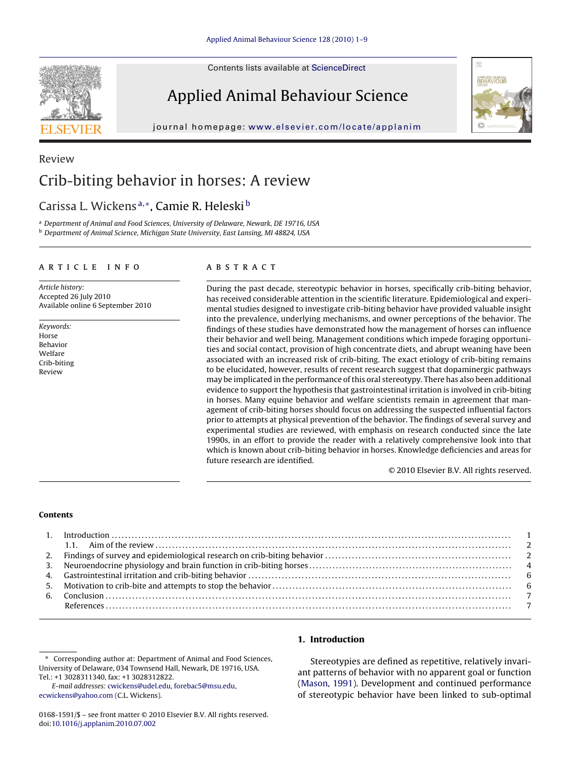Contents lists available at [ScienceDirect](http://www.sciencedirect.com/science/journal/01681591)

# Applied Animal Behaviour Science

journal homepage: [www.elsevier.com/locate/applanim](http://www.elsevier.com/locate/applanim)



## Review Crib-biting behavior in horses: A review

### Carissa L. Wickens <sup>a</sup>,∗, Camie R. Heleski <sup>b</sup>

<sup>a</sup> Department of Animal and Food Sciences, University of Delaware, Newark, DE 19716, USA <sup>b</sup> Department of Animal Science, Michigan State University, East Lansing, MI 48824, USA

#### article info

Article history: Accepted 26 July 2010 Available online 6 September 2010

Keywords: Horse Behavior Welfare Crib-biting Review

#### **ABSTRACT**

During the past decade, stereotypic behavior in horses, specifically crib-biting behavior, has received considerable attention in the scientific literature. Epidemiological and experimental studies designed to investigate crib-biting behavior have provided valuable insight into the prevalence, underlying mechanisms, and owner perceptions of the behavior. The findings of these studies have demonstrated how the management of horses can influence their behavior and well being. Management conditions which impede foraging opportunities and social contact, provision of high concentrate diets, and abrupt weaning have been associated with an increased risk of crib-biting. The exact etiology of crib-biting remains to be elucidated, however, results of recent research suggest that dopaminergic pathways may be implicated in the performance of this oral stereotypy. There has also been additional evidence to support the hypothesis that gastrointestinal irritation is involved in crib-biting in horses. Many equine behavior and welfare scientists remain in agreement that management of crib-biting horses should focus on addressing the suspected influential factors prior to attempts at physical prevention of the behavior. The findings of several survey and experimental studies are reviewed, with emphasis on research conducted since the late 1990s, in an effort to provide the reader with a relatively comprehensive look into that which is known about crib-biting behavior in horses. Knowledge deficiencies and areas for future research are identified.

© 2010 Elsevier B.V. All rights reserved.

#### **Contents**

Corresponding author at: Department of Animal and Food Sciences, University of Delaware, 034 Townsend Hall, Newark, DE 19716, USA. Tel.: +1 3028311340, fax: +1 3028312822.

E-mail addresses: [cwickens@udel.edu,](mailto:cwickens@udel.edu) [forebac5@msu.edu,](mailto:forebac5@msu.edu) [ecwickens@yahoo.com](mailto:ecwickens@yahoo.com) (C.L. Wickens).

#### **1. Introduction**

Stereotypies are defined as repetitive, relatively invariant patterns of behavior with no apparent goal or function [\(Mason, 1991\).](#page-7-0) Development and continued performance of stereotypic behavior have been linked to sub-optimal



<sup>0168-1591/\$ –</sup> see front matter © 2010 Elsevier B.V. All rights reserved. doi:[10.1016/j.applanim.2010.07.002](dx.doi.org/10.1016/j.applanim.2010.07.002)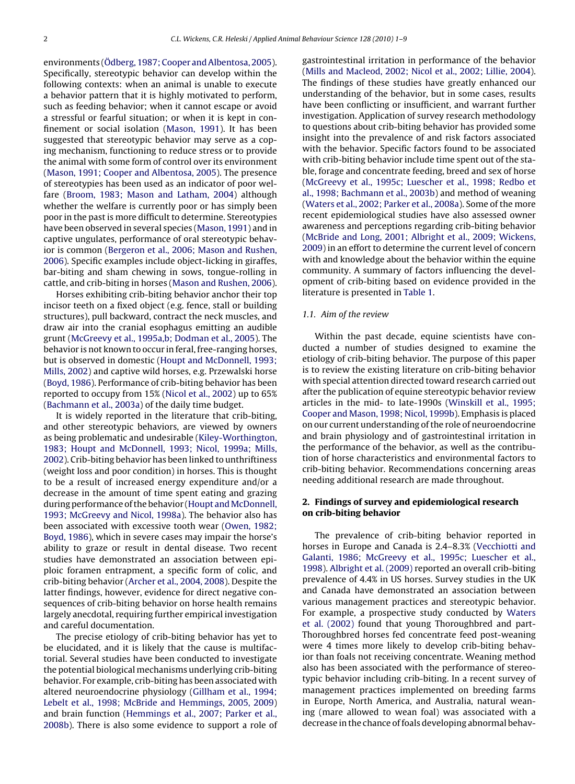environments ([Ödberg, 1987; Cooper and Albentosa, 2005\).](#page-7-0) Specifically, stereotypic behavior can develop within the following contexts: when an animal is unable to execute a behavior pattern that it is highly motivated to perform, such as feeding behavior; when it cannot escape or avoid a stressful or fearful situation; or when it is kept in confinement or social isolation ([Mason, 1991\).](#page-7-0) It has been suggested that stereotypic behavior may serve as a coping mechanism, functioning to reduce stress or to provide the animal with some form of control over its environment [\(Mason, 1991; Cooper and Albentosa, 2005\).](#page-7-0) The presence of stereotypies has been used as an indicator of poor welfare [\(Broom, 1983; Mason and Latham, 2004\)](#page-6-0) although whether the welfare is currently poor or has simply been poor in the past is more difficult to determine. Stereotypies have been observed in several species ([Mason, 1991\) a](#page-7-0)nd in captive ungulates, performance of oral stereotypic behavior is common [\(Bergeron et al., 2006; Mason and Rushen,](#page-6-0) [2006\).](#page-6-0) Specific examples include object-licking in giraffes, bar-biting and sham chewing in sows, tongue-rolling in cattle, and crib-biting in horses [\(Mason and Rushen, 2006\).](#page-7-0)

Horses exhibiting crib-biting behavior anchor their top incisor teeth on a fixed object (e.g. fence, stall or building structures), pull backward, contract the neck muscles, and draw air into the cranial esophagus emitting an audible grunt [\(McGreevy et al., 1995a,b; Dodman et al., 2005\).](#page-7-0) The behavior is not known to occur in feral, free-ranging horses, but is observed in domestic ([Houpt and McDonnell, 1993;](#page-7-0) [Mills, 2002\)](#page-7-0) and captive wild horses, e.g. Przewalski horse [\(Boyd, 1986\).](#page-6-0) Performance of crib-biting behavior has been reported to occupy from 15% ([Nicol et al., 2002\)](#page-7-0) up to 65% [\(Bachmann et al., 2003a\)](#page-6-0) of the daily time budget.

It is widely reported in the literature that crib-biting, and other stereotypic behaviors, are viewed by owners as being problematic and undesirable [\(Kiley-Worthington,](#page-7-0) [1983; Houpt and McDonnell, 1993; Nicol, 1999a; Mills,](#page-7-0) [2002\).](#page-7-0) Crib-biting behavior has been linked to unthriftiness (weight loss and poor condition) in horses. This is thought to be a result of increased energy expenditure and/or a decrease in the amount of time spent eating and grazing during performance of the behavior (Houpt and McDonnell, [1993; McGreevy and Nicol, 1998a\).](#page-7-0) The behavior also has been associated with excessive tooth wear [\(Owen, 1982;](#page-7-0) [Boyd, 1986\),](#page-7-0) which in severe cases may impair the horse's ability to graze or result in dental disease. Two recent studies have demonstrated an association between epiploic foramen entrapment, a specific form of colic, and crib-biting behavior ([Archer et al., 2004, 2008\).](#page-6-0) Despite the latter findings, however, evidence for direct negative consequences of crib-biting behavior on horse health remains largely anecdotal, requiring further empirical investigation and careful documentation.

The precise etiology of crib-biting behavior has yet to be elucidated, and it is likely that the cause is multifactorial. Several studies have been conducted to investigate the potential biological mechanisms underlying crib-biting behavior. For example, crib-biting has been associated with altered neuroendocrine physiology ([Gillham et al., 1994;](#page-7-0) [Lebelt et al., 1998; McBride and Hemmings, 2005, 2009\)](#page-7-0) and brain function ([Hemmings et al., 2007; Parker et al.,](#page-7-0) [2008b\).](#page-7-0) There is also some evidence to support a role of gastrointestinal irritation in performance of the behavior [\(Mills and Macleod, 2002; Nicol et al., 2002; Lillie, 2004\).](#page-7-0) The findings of these studies have greatly enhanced our understanding of the behavior, but in some cases, results have been conflicting or insufficient, and warrant further investigation. Application of survey research methodology to questions about crib-biting behavior has provided some insight into the prevalence of and risk factors associated with the behavior. Specific factors found to be associated with crib-biting behavior include time spent out of the stable, forage and concentrate feeding, breed and sex of horse [\(McGreevy et al., 1995c; Luescher et al., 1998; Redbo et](#page-7-0) [al., 1998; Bachmann et al., 2003b\) a](#page-7-0)nd method of weaning [\(Waters et al., 2002; Parker et al., 2008a\).](#page-8-0) Some of the more recent epidemiological studies have also assessed owner awareness and perceptions regarding crib-biting behavior [\(McBride and Long, 2001; Albright et al., 2009; Wickens,](#page-7-0) [2009\)](#page-7-0) in an effort to determine the current level of concern with and knowledge about the behavior within the equine community. A summary of factors influencing the development of crib-biting based on evidence provided in the literature is presented in [Table 1.](#page-2-0)

#### 1.1. Aim of the review

Within the past decade, equine scientists have conducted a number of studies designed to examine the etiology of crib-biting behavior. The purpose of this paper is to review the existing literature on crib-biting behavior with special attention directed toward research carried out after the publication of equine stereotypic behavior review articles in the mid- to late-1990s ([Winskill et al., 1995;](#page-8-0) [Cooper and Mason, 1998; Nicol, 1999b\).](#page-8-0) Emphasis is placed on our current understanding of the role of neuroendocrine and brain physiology and of gastrointestinal irritation in the performance of the behavior, as well as the contribution of horse characteristics and environmental factors to crib-biting behavior. Recommendations concerning areas needing additional research are made throughout.

#### **2. Findings of survey and epidemiological research on crib-biting behavior**

The prevalence of crib-biting behavior reported in horses in Europe and Canada is 2.4–8.3% ([Vecchiotti and](#page-7-0) [Galanti, 1986; McGreevy et al., 1995c; Luescher et al.,](#page-7-0) [1998\).](#page-7-0) [Albright et al. \(2009\)](#page-6-0) reported an overall crib-biting prevalence of 4.4% in US horses. Survey studies in the UK and Canada have demonstrated an association between various management practices and stereotypic behavior. For example, a prospective study conducted by [Waters](#page-8-0) [et al. \(2002\)](#page-8-0) found that young Thoroughbred and part-Thoroughbred horses fed concentrate feed post-weaning were 4 times more likely to develop crib-biting behavior than foals not receiving concentrate. Weaning method also has been associated with the performance of stereotypic behavior including crib-biting. In a recent survey of management practices implemented on breeding farms in Europe, North America, and Australia, natural weaning (mare allowed to wean foal) was associated with a decrease in the chance of foals developing abnormal behav-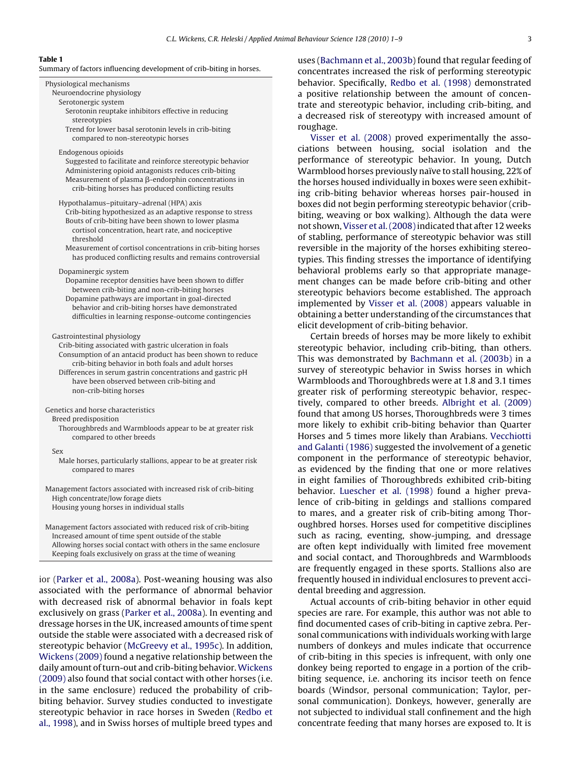#### <span id="page-2-0"></span>**Table 1**

Summary of factors influencing development of crib-biting in horses.

Physiological mechanisms Neuroendocrine physiology Serotonergic system Serotonin reuptake inhibitors effective in reducing stereotypies Trend for lower basal serotonin levels in crib-biting compared to non-stereotypic horses Endogenous opioids Suggested to facilitate and reinforce stereotypic behavior Administering opioid antagonists reduces crib-biting Measurement of plasma  $\beta$ -endorphin concentrations in crib-biting horses has produced conflicting results Hypothalamus–pituitary–adrenal (HPA) axis Crib-biting hypothesized as an adaptive response to stress Bouts of crib-biting have been shown to lower plasma cortisol concentration, heart rate, and nociceptive threshold Measurement of cortisol concentrations in crib-biting horses has produced conflicting results and remains controversial Dopaminergic system Dopamine receptor densities have been shown to differ between crib-biting and non-crib-biting horses Dopamine pathways are important in goal-directed behavior and crib-biting horses have demonstrated difficulties in learning response-outcome contingencies Gastrointestinal physiology Crib-biting associated with gastric ulceration in foals Consumption of an antacid product has been shown to reduce crib-biting behavior in both foals and adult horses Differences in serum gastrin concentrations and gastric pH have been observed between crib-biting and non-crib-biting horses Genetics and horse characteristics Breed predisposition Thoroughbreds and Warmbloods appear to be at greater risk compared to other breeds Sex Male horses, particularly stallions, appear to be at greater risk compared to mares Management factors associated with increased risk of crib-biting High concentrate/low forage diets Housing young horses in individual stalls

Management factors associated with reduced risk of crib-biting Increased amount of time spent outside of the stable Allowing horses social contact with others in the same enclosure Keeping foals exclusively on grass at the time of weaning

ior ([Parker et al., 2008a\).](#page-7-0) Post-weaning housing was also associated with the performance of abnormal behavior with decreased risk of abnormal behavior in foals kept exclusively on grass [\(Parker et al., 2008a\).](#page-7-0) In eventing and dressage horses in the UK, increased amounts of time spent outside the stable were associated with a decreased risk of stereotypic behavior ([McGreevy et al., 1995c\).](#page-7-0) In addition, [Wickens \(2009\)](#page-8-0) found a negative relationship between the daily amount of turn-out and crib-biting behavior.[Wickens](#page-8-0) [\(2009\)](#page-8-0) also found that social contact with other horses (i.e. in the same enclosure) reduced the probability of cribbiting behavior. Survey studies conducted to investigate stereotypic behavior in race horses in Sweden ([Redbo et](#page-7-0) [al., 1998\),](#page-7-0) and in Swiss horses of multiple breed types and

uses [\(Bachmann et al., 2003b\) f](#page-6-0)ound that regular feeding of concentrates increased the risk of performing stereotypic behavior. Specifically, [Redbo et al. \(1998\)](#page-7-0) demonstrated a positive relationship between the amount of concentrate and stereotypic behavior, including crib-biting, and a decreased risk of stereotypy with increased amount of roughage.

[Visser et al. \(2008\)](#page-8-0) proved experimentally the associations between housing, social isolation and the performance of stereotypic behavior. In young, Dutch Warmblood horses previously naïve to stall housing, 22% of the horses housed individually in boxes were seen exhibiting crib-biting behavior whereas horses pair-housed in boxes did not begin performing stereotypic behavior (cribbiting, weaving or box walking). Although the data were not shown, Visser et al. (2008) indicated that after 12 weeks of stabling, performance of stereotypic behavior was still reversible in the majority of the horses exhibiting stereotypies. This finding stresses the importance of identifying behavioral problems early so that appropriate management changes can be made before crib-biting and other stereotypic behaviors become established. The approach implemented by [Visser et al. \(2008\)](#page-8-0) appears valuable in obtaining a better understanding of the circumstances that elicit development of crib-biting behavior.

Certain breeds of horses may be more likely to exhibit stereotypic behavior, including crib-biting, than others. This was demonstrated by [Bachmann et al. \(2003b\)](#page-6-0) in a survey of stereotypic behavior in Swiss horses in which Warmbloods and Thoroughbreds were at 1.8 and 3.1 times greater risk of performing stereotypic behavior, respectively, compared to other breeds. [Albright et al. \(2009\)](#page-6-0) found that among US horses, Thoroughbreds were 3 times more likely to exhibit crib-biting behavior than Quarter Horses and 5 times more likely than Arabians. [Vecchiotti](#page-7-0) [and Galanti \(1986\)](#page-7-0) suggested the involvement of a genetic component in the performance of stereotypic behavior, as evidenced by the finding that one or more relatives in eight families of Thoroughbreds exhibited crib-biting behavior. [Luescher et al. \(1998\)](#page-7-0) found a higher prevalence of crib-biting in geldings and stallions compared to mares, and a greater risk of crib-biting among Thoroughbred horses. Horses used for competitive disciplines such as racing, eventing, show-jumping, and dressage are often kept individually with limited free movement and social contact, and Thoroughbreds and Warmbloods are frequently engaged in these sports. Stallions also are frequently housed in individual enclosures to prevent accidental breeding and aggression.

Actual accounts of crib-biting behavior in other equid species are rare. For example, this author was not able to find documented cases of crib-biting in captive zebra. Personal communications with individuals working with large numbers of donkeys and mules indicate that occurrence of crib-biting in this species is infrequent, with only one donkey being reported to engage in a portion of the cribbiting sequence, i.e. anchoring its incisor teeth on fence boards (Windsor, personal communication; Taylor, personal communication). Donkeys, however, generally are not subjected to individual stall confinement and the high concentrate feeding that many horses are exposed to. It is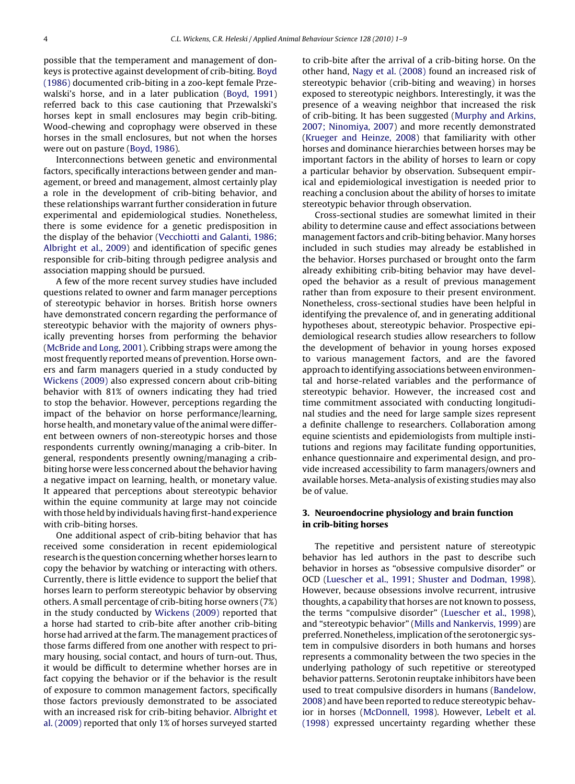possible that the temperament and management of donkeys is protective against development of crib-biting. [Boyd](#page-6-0) [\(1986\)](#page-6-0) documented crib-biting in a zoo-kept female Przewalski's horse, and in a later publication ([Boyd, 1991\)](#page-6-0) referred back to this case cautioning that Przewalski's horses kept in small enclosures may begin crib-biting. Wood-chewing and coprophagy were observed in these horses in the small enclosures, but not when the horses were out on pasture [\(Boyd, 1986\).](#page-6-0)

Interconnections between genetic and environmental factors, specifically interactions between gender and management, or breed and management, almost certainly play a role in the development of crib-biting behavior, and these relationships warrant further consideration in future experimental and epidemiological studies. Nonetheless, there is some evidence for a genetic predisposition in the display of the behavior [\(Vecchiotti and Galanti, 1986;](#page-7-0) [Albright et al., 2009\)](#page-7-0) and identification of specific genes responsible for crib-biting through pedigree analysis and association mapping should be pursued.

A few of the more recent survey studies have included questions related to owner and farm manager perceptions of stereotypic behavior in horses. British horse owners have demonstrated concern regarding the performance of stereotypic behavior with the majority of owners physically preventing horses from performing the behavior [\(McBride and Long, 2001\).](#page-7-0) Cribbing straps were among the most frequently reported means of prevention. Horse owners and farm managers queried in a study conducted by [Wickens \(2009\)](#page-8-0) also expressed concern about crib-biting behavior with 81% of owners indicating they had tried to stop the behavior. However, perceptions regarding the impact of the behavior on horse performance/learning, horse health, and monetary value of the animal were different between owners of non-stereotypic horses and those respondents currently owning/managing a crib-biter. In general, respondents presently owning/managing a cribbiting horse were less concerned about the behavior having a negative impact on learning, health, or monetary value. It appeared that perceptions about stereotypic behavior within the equine community at large may not coincide with those held by individuals having first-hand experience with crib-biting horses.

One additional aspect of crib-biting behavior that has received some consideration in recent epidemiological research is the question concerning whether horses learn to copy the behavior by watching or interacting with others. Currently, there is little evidence to support the belief that horses learn to perform stereotypic behavior by observing others. A small percentage of crib-biting horse owners (7%) in the study conducted by [Wickens \(2009\)](#page-8-0) reported that a horse had started to crib-bite after another crib-biting horse had arrived at the farm. The management practices of those farms differed from one another with respect to primary housing, social contact, and hours of turn-out. Thus, it would be difficult to determine whether horses are in fact copying the behavior or if the behavior is the result of exposure to common management factors, specifically those factors previously demonstrated to be associated with an increased risk for crib-biting behavior. [Albright et](#page-6-0) [al. \(2009\)](#page-6-0) reported that only 1% of horses surveyed started to crib-bite after the arrival of a crib-biting horse. On the other hand, [Nagy et al. \(2008\)](#page-7-0) found an increased risk of stereotypic behavior (crib-biting and weaving) in horses exposed to stereotypic neighbors. Interestingly, it was the presence of a weaving neighbor that increased the risk of crib-biting. It has been suggested ([Murphy and Arkins,](#page-7-0) [2007; Ninomiya, 2007\)](#page-7-0) and more recently demonstrated [\(Krueger and Heinze, 2008\)](#page-7-0) that familiarity with other horses and dominance hierarchies between horses may be important factors in the ability of horses to learn or copy a particular behavior by observation. Subsequent empirical and epidemiological investigation is needed prior to reaching a conclusion about the ability of horses to imitate stereotypic behavior through observation.

Cross-sectional studies are somewhat limited in their ability to determine cause and effect associations between management factors and crib-biting behavior. Many horses included in such studies may already be established in the behavior. Horses purchased or brought onto the farm already exhibiting crib-biting behavior may have developed the behavior as a result of previous management rather than from exposure to their present environment. Nonetheless, cross-sectional studies have been helpful in identifying the prevalence of, and in generating additional hypotheses about, stereotypic behavior. Prospective epidemiological research studies allow researchers to follow the development of behavior in young horses exposed to various management factors, and are the favored approach to identifying associations between environmental and horse-related variables and the performance of stereotypic behavior. However, the increased cost and time commitment associated with conducting longitudinal studies and the need for large sample sizes represent a definite challenge to researchers. Collaboration among equine scientists and epidemiologists from multiple institutions and regions may facilitate funding opportunities, enhance questionnaire and experimental design, and provide increased accessibility to farm managers/owners and available horses. Meta-analysis of existing studies may also be of value.

#### **3. Neuroendocrine physiology and brain function in crib-biting horses**

The repetitive and persistent nature of stereotypic behavior has led authors in the past to describe such behavior in horses as "obsessive compulsive disorder" or OCD [\(Luescher et al., 1991; Shuster and Dodman, 1998\).](#page-7-0) However, because obsessions involve recurrent, intrusive thoughts, a capability that horses are not known to possess, the terms "compulsive disorder" ([Luescher et al., 1998\),](#page-7-0) and "stereotypic behavior" [\(Mills and Nankervis, 1999\) a](#page-7-0)re preferred. Nonetheless, implication of the serotonergic system in compulsive disorders in both humans and horses represents a commonality between the two species in the underlying pathology of such repetitive or stereotyped behavior patterns. Serotonin reuptake inhibitors have been used to treat compulsive disorders in humans ([Bandelow,](#page-6-0) [2008\)](#page-6-0) and have been reported to reduce stereotypic behavior in horses [\(McDonnell, 1998\).](#page-7-0) However, [Lebelt et al.](#page-7-0) [\(1998\)](#page-7-0) expressed uncertainty regarding whether these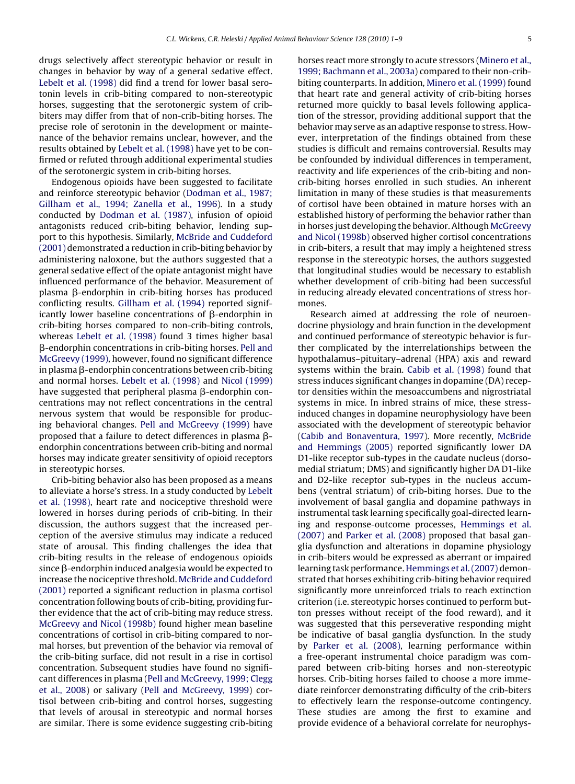drugs selectively affect stereotypic behavior or result in changes in behavior by way of a general sedative effect. [Lebelt et al. \(1998\)](#page-7-0) did find a trend for lower basal serotonin levels in crib-biting compared to non-stereotypic horses, suggesting that the serotonergic system of cribbiters may differ from that of non-crib-biting horses. The precise role of serotonin in the development or maintenance of the behavior remains unclear, however, and the results obtained by [Lebelt et al. \(1998\)](#page-7-0) have yet to be confirmed or refuted through additional experimental studies of the serotonergic system in crib-biting horses.

Endogenous opioids have been suggested to facilitate and reinforce stereotypic behavior ([Dodman et al., 1987;](#page-6-0) [Gillham et al., 1994; Zanella et al., 1996\).](#page-6-0) In a study conducted by [Dodman et al. \(1987\),](#page-6-0) infusion of opioid antagonists reduced crib-biting behavior, lending support to this hypothesis. Similarly, [McBride and Cuddeford](#page-7-0) [\(2001\)](#page-7-0) demonstrated a reduction in crib-biting behavior by administering naloxone, but the authors suggested that a general sedative effect of the opiate antagonist might have influenced performance of the behavior. Measurement of plasma β-endorphin in crib-biting horses has produced conflicting results. [Gillham et al. \(1994\)](#page-7-0) reported significantly lower baseline concentrations of  $\beta$ -endorphin in crib-biting horses compared to non-crib-biting controls, whereas [Lebelt et al. \(1998\)](#page-7-0) found 3 times higher basal --endorphin concentrations in crib-biting horses. [Pell and](#page-7-0) [McGreevy \(1999\), h](#page-7-0)owever, found no significant difference in plasma  $\beta$ -endorphin concentrations between crib-biting and normal horses. [Lebelt et al. \(1998\)](#page-7-0) and [Nicol \(1999\)](#page-7-0) have suggested that peripheral plasma β-endorphin concentrations may not reflect concentrations in the central nervous system that would be responsible for producing behavioral changes. [Pell and McGreevy \(1999\)](#page-7-0) have proposed that a failure to detect differences in plasma  $\beta$ endorphin concentrations between crib-biting and normal horses may indicate greater sensitivity of opioid receptors in stereotypic horses.

Crib-biting behavior also has been proposed as a means to alleviate a horse's stress. In a study conducted by [Lebelt](#page-7-0) [et al. \(1998\),](#page-7-0) heart rate and nociceptive threshold were lowered in horses during periods of crib-biting. In their discussion, the authors suggest that the increased perception of the aversive stimulus may indicate a reduced state of arousal. This finding challenges the idea that crib-biting results in the release of endogenous opioids since β-endorphin induced analgesia would be expected to increase the nociceptive threshold. [McBride and Cuddeford](#page-7-0) [\(2001\)](#page-7-0) reported a significant reduction in plasma cortisol concentration following bouts of crib-biting, providing further evidence that the act of crib-biting may reduce stress. [McGreevy and Nicol \(1998b\)](#page-7-0) found higher mean baseline concentrations of cortisol in crib-biting compared to normal horses, but prevention of the behavior via removal of the crib-biting surface, did not result in a rise in cortisol concentration. Subsequent studies have found no significant differences in plasma ([Pell and McGreevy, 1999; Clegg](#page-7-0) [et al., 2008\)](#page-7-0) or salivary ([Pell and McGreevy, 1999\)](#page-7-0) cortisol between crib-biting and control horses, suggesting that levels of arousal in stereotypic and normal horses are similar. There is some evidence suggesting crib-biting horses react more strongly to acute stressors [\(Minero et al.,](#page-7-0) [1999; Bachmann et al., 2003a\) c](#page-7-0)ompared to their non-cribbiting counterparts. In addition, [Minero et al. \(1999\)](#page-7-0) found that heart rate and general activity of crib-biting horses returned more quickly to basal levels following application of the stressor, providing additional support that the behavior may serve as an adaptive response to stress. However, interpretation of the findings obtained from these studies is difficult and remains controversial. Results may be confounded by individual differences in temperament, reactivity and life experiences of the crib-biting and noncrib-biting horses enrolled in such studies. An inherent limitation in many of these studies is that measurements of cortisol have been obtained in mature horses with an established history of performing the behavior rather than in horses just developing the behavior. Although [McGreevy](#page-7-0) [and Nicol \(1998b\)](#page-7-0) observed higher cortisol concentrations in crib-biters, a result that may imply a heightened stress response in the stereotypic horses, the authors suggested that longitudinal studies would be necessary to establish whether development of crib-biting had been successful in reducing already elevated concentrations of stress hormones.

Research aimed at addressing the role of neuroendocrine physiology and brain function in the development and continued performance of stereotypic behavior is further complicated by the interrelationships between the hypothalamus–pituitary–adrenal (HPA) axis and reward systems within the brain. [Cabib et al. \(1998\)](#page-6-0) found that stress induces significant changes in dopamine (DA) receptor densities within the mesoaccumbens and nigrostriatal systems in mice. In inbred strains of mice, these stressinduced changes in dopamine neurophysiology have been associated with the development of stereotypic behavior [\(Cabib and Bonaventura, 1997\).](#page-6-0) More recently, [McBride](#page-7-0) [and Hemmings \(2005\)](#page-7-0) reported significantly lower DA D1-like receptor sub-types in the caudate nucleus (dorsomedial striatum; DMS) and significantly higher DA D1-like and D2-like receptor sub-types in the nucleus accumbens (ventral striatum) of crib-biting horses. Due to the involvement of basal ganglia and dopamine pathways in instrumental task learning specifically goal-directed learning and response-outcome processes, [Hemmings et al.](#page-7-0) [\(2007\)](#page-7-0) and [Parker et al. \(2008\)](#page-7-0) proposed that basal ganglia dysfunction and alterations in dopamine physiology in crib-biters would be expressed as aberrant or impaired learning task performance. [Hemmings et al. \(2007\)](#page-7-0) demonstrated that horses exhibiting crib-biting behavior required significantly more unreinforced trials to reach extinction criterion (i.e. stereotypic horses continued to perform button presses without receipt of the food reward), and it was suggested that this perseverative responding might be indicative of basal ganglia dysfunction. In the study by [Parker et al. \(2008\),](#page-7-0) learning performance within a free-operant instrumental choice paradigm was compared between crib-biting horses and non-stereotypic horses. Crib-biting horses failed to choose a more immediate reinforcer demonstrating difficulty of the crib-biters to effectively learn the response-outcome contingency. These studies are among the first to examine and provide evidence of a behavioral correlate for neurophys-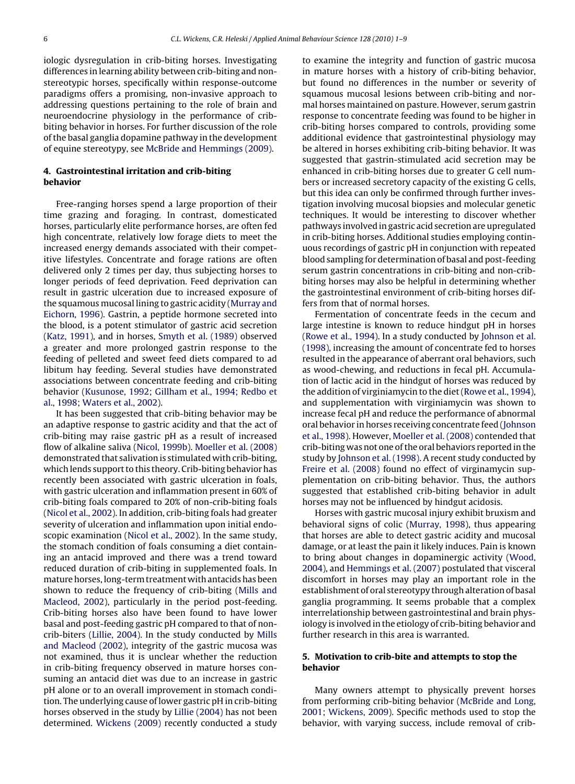iologic dysregulation in crib-biting horses. Investigating differences in learning ability between crib-biting and nonstereotypic horses, specifically within response-outcome paradigms offers a promising, non-invasive approach to addressing questions pertaining to the role of brain and neuroendocrine physiology in the performance of cribbiting behavior in horses. For further discussion of the role of the basal ganglia dopamine pathway in the development of equine stereotypy, see [McBride and Hemmings \(2009\).](#page-7-0)

#### **4. Gastrointestinal irritation and crib-biting behavior**

Free-ranging horses spend a large proportion of their time grazing and foraging. In contrast, domesticated horses, particularly elite performance horses, are often fed high concentrate, relatively low forage diets to meet the increased energy demands associated with their competitive lifestyles. Concentrate and forage rations are often delivered only 2 times per day, thus subjecting horses to longer periods of feed deprivation. Feed deprivation can result in gastric ulceration due to increased exposure of the squamous mucosal lining to gastric acidity [\(Murray and](#page-7-0) [Eichorn, 1996\).](#page-7-0) Gastrin, a peptide hormone secreted into the blood, is a potent stimulator of gastric acid secretion [\(Katz, 1991\),](#page-7-0) and in horses, [Smyth et al. \(1989\)](#page-7-0) observed a greater and more prolonged gastrin response to the feeding of pelleted and sweet feed diets compared to ad libitum hay feeding. Several studies have demonstrated associations between concentrate feeding and crib-biting behavior ([Kusunose, 1992; Gillham et al., 1994; Redbo et](#page-7-0) [al., 1998; Waters et al., 2002\).](#page-7-0)

It has been suggested that crib-biting behavior may be an adaptive response to gastric acidity and that the act of crib-biting may raise gastric pH as a result of increased flow of alkaline saliva ([Nicol, 1999b\).](#page-7-0) [Moeller et al. \(2008\)](#page-7-0) demonstrated that salivation is stimulated with crib-biting, which lends support to this theory. Crib-biting behavior has recently been associated with gastric ulceration in foals, with gastric ulceration and inflammation present in 60% of crib-biting foals compared to 20% of non-crib-biting foals [\(Nicol et al., 2002\).](#page-7-0) In addition, crib-biting foals had greater severity of ulceration and inflammation upon initial endoscopic examination ([Nicol et al., 2002\).](#page-7-0) In the same study, the stomach condition of foals consuming a diet containing an antacid improved and there was a trend toward reduced duration of crib-biting in supplemented foals. In mature horses, long-term treatment with antacids has been shown to reduce the frequency of crib-biting ([Mills and](#page-7-0) [Macleod, 2002\),](#page-7-0) particularly in the period post-feeding. Crib-biting horses also have been found to have lower basal and post-feeding gastric pH compared to that of noncrib-biters [\(Lillie, 2004\).](#page-7-0) In the study conducted by [Mills](#page-7-0) [and Macleod \(2002\),](#page-7-0) integrity of the gastric mucosa was not examined, thus it is unclear whether the reduction in crib-biting frequency observed in mature horses consuming an antacid diet was due to an increase in gastric pH alone or to an overall improvement in stomach condition. The underlying cause of lower gastric pH in crib-biting horses observed in the study by [Lillie \(2004\)](#page-7-0) has not been determined. [Wickens \(2009\)](#page-8-0) recently conducted a study to examine the integrity and function of gastric mucosa in mature horses with a history of crib-biting behavior, but found no differences in the number or severity of squamous mucosal lesions between crib-biting and normal horses maintained on pasture. However, serum gastrin response to concentrate feeding was found to be higher in crib-biting horses compared to controls, providing some additional evidence that gastrointestinal physiology may be altered in horses exhibiting crib-biting behavior. It was suggested that gastrin-stimulated acid secretion may be enhanced in crib-biting horses due to greater G cell numbers or increased secretory capacity of the existing G cells, but this idea can only be confirmed through further investigation involving mucosal biopsies and molecular genetic techniques. It would be interesting to discover whether pathways involved in gastric acid secretion are upregulated in crib-biting horses. Additional studies employing continuous recordings of gastric pH in conjunction with repeated blood sampling for determination of basal and post-feeding serum gastrin concentrations in crib-biting and non-cribbiting horses may also be helpful in determining whether the gastrointestinal environment of crib-biting horses differs from that of normal horses.

Fermentation of concentrate feeds in the cecum and large intestine is known to reduce hindgut pH in horses [\(Rowe et al., 1994\).](#page-7-0) In a study conducted by [Johnson et al.](#page-7-0) [\(1998\), i](#page-7-0)ncreasing the amount of concentrate fed to horses resulted in the appearance of aberrant oral behaviors, such as wood-chewing, and reductions in fecal pH. Accumulation of lactic acid in the hindgut of horses was reduced by the addition of virginiamycin to the diet ([Rowe et al., 1994\),](#page-7-0) and supplementation with virginiamycin was shown to increase fecal pH and reduce the performance of abnormal oral behavior in horses receiving concentrate feed ([Johnson](#page-7-0) [et al., 1998\).](#page-7-0) However, [Moeller et al. \(2008\)](#page-7-0) contended that crib-biting was not one of the oral behaviors reported in the study by [Johnson et al. \(1998\). A](#page-7-0) recent study conducted by [Freire et al. \(2008\)](#page-7-0) found no effect of virginamycin supplementation on crib-biting behavior. Thus, the authors suggested that established crib-biting behavior in adult horses may not be influenced by hindgut acidosis.

Horses with gastric mucosal injury exhibit bruxism and behavioral signs of colic ([Murray, 1998\),](#page-7-0) thus appearing that horses are able to detect gastric acidity and mucosal damage, or at least the pain it likely induces. Pain is known to bring about changes in dopaminergic activity ([Wood,](#page-8-0) [2004\),](#page-8-0) and [Hemmings et al. \(2007\)](#page-7-0) postulated that visceral discomfort in horses may play an important role in the establishment of oral stereotypy through alteration of basal ganglia programming. It seems probable that a complex interrelationship between gastrointestinal and brain physiology is involved in the etiology of crib-biting behavior and further research in this area is warranted.

#### **5. Motivation to crib-bite and attempts to stop the behavior**

Many owners attempt to physically prevent horses from performing crib-biting behavior ([McBride and Long,](#page-7-0) [2001; Wickens, 2009\).](#page-7-0) Specific methods used to stop the behavior, with varying success, include removal of crib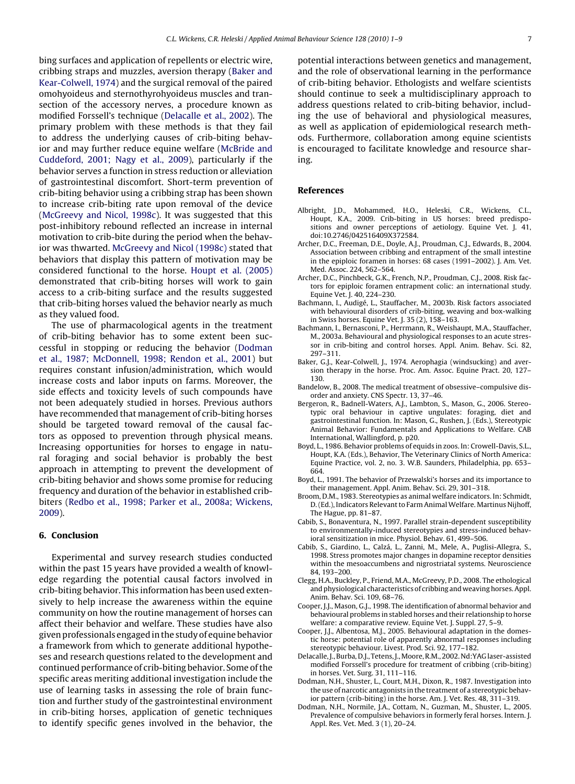<span id="page-6-0"></span>bing surfaces and application of repellents or electric wire, cribbing straps and muzzles, aversion therapy (Baker and Kear-Colwell, 1974) and the surgical removal of the paired omohyoideus and sternothyrohyoideus muscles and transection of the accessory nerves, a procedure known as modified Forssell's technique (Delacalle et al., 2002). The primary problem with these methods is that they fail to address the underlying causes of crib-biting behavior and may further reduce equine welfare [\(McBride and](#page-7-0) [Cuddeford, 2001; Nagy et al., 2009\),](#page-7-0) particularly if the behavior serves a function in stress reduction or alleviation of gastrointestinal discomfort. Short-term prevention of crib-biting behavior using a cribbing strap has been shown to increase crib-biting rate upon removal of the device [\(McGreevy and Nicol, 1998c\).](#page-7-0) It was suggested that this post-inhibitory rebound reflected an increase in internal motivation to crib-bite during the period when the behavior was thwarted. [McGreevy and Nicol \(1998c\)](#page-7-0) stated that behaviors that display this pattern of motivation may be considered functional to the horse. [Houpt et al. \(2005\)](#page-7-0) demonstrated that crib-biting horses will work to gain access to a crib-biting surface and the results suggested that crib-biting horses valued the behavior nearly as much as they valued food.

The use of pharmacological agents in the treatment of crib-biting behavior has to some extent been successful in stopping or reducing the behavior (Dodman et al., 1987; McDonnell, 1998; Rendon et al., 2001) but requires constant infusion/administration, which would increase costs and labor inputs on farms. Moreover, the side effects and toxicity levels of such compounds have not been adequately studied in horses. Previous authors have recommended that management of crib-biting horses should be targeted toward removal of the causal factors as opposed to prevention through physical means. Increasing opportunities for horses to engage in natural foraging and social behavior is probably the best approach in attempting to prevent the development of crib-biting behavior and shows some promise for reducing frequency and duration of the behavior in established cribbiters ([Redbo et al., 1998; Parker et al., 2008a; Wickens,](#page-7-0) [2009\).](#page-7-0)

#### **6. Conclusion**

Experimental and survey research studies conducted within the past 15 years have provided a wealth of knowledge regarding the potential causal factors involved in crib-biting behavior. This information has been used extensively to help increase the awareness within the equine community on how the routine management of horses can affect their behavior and welfare. These studies have also given professionals engaged in the study of equine behavior a framework from which to generate additional hypotheses and research questions related to the development and continued performance of crib-biting behavior. Some of the specific areas meriting additional investigation include the use of learning tasks in assessing the role of brain function and further study of the gastrointestinal environment in crib-biting horses, application of genetic techniques to identify specific genes involved in the behavior, the potential interactions between genetics and management, and the role of observational learning in the performance of crib-biting behavior. Ethologists and welfare scientists should continue to seek a multidisciplinary approach to address questions related to crib-biting behavior, including the use of behavioral and physiological measures, as well as application of epidemiological research methods. Furthermore, collaboration among equine scientists is encouraged to facilitate knowledge and resource sharing.

#### **References**

- Albright, J.D., Mohammed, H.O., Heleski, C.R., Wickens, C.L., Houpt, K.A., 2009. Crib-biting in US horses: breed predispositions and owner perceptions of aetiology. Equine Vet. J. 41, doi:10.2746/042516409X372584.
- Archer, D.C., Freeman, D.E., Doyle, A.J., Proudman, C.J., Edwards, B., 2004. Association between cribbing and entrapment of the small intestine in the epiploic foramen in horses: 68 cases (1991–2002). J. Am. Vet. Med. Assoc. 224, 562–564.
- Archer, D.C., Pinchbeck, G.K., French, N.P., Proudman, C.J., 2008. Risk factors for epiploic foramen entrapment colic: an international study. Equine Vet. J. 40, 224–230.
- Bachmann, I., Audigé, L., Stauffacher, M., 2003b. Risk factors associated with behavioural disorders of crib-biting, weaving and box-walking in Swiss horses. Equine Vet. J. 35 (2), 158–163.
- Bachmann, I., Bernasconi, P., Herrmann, R., Weishaupt, M.A., Stauffacher, M., 2003a. Behavioural and physiological responses to an acute stressor in crib-biting and control horses. Appl. Anim. Behav. Sci. 82, 297–311.
- Baker, G.J., Kear-Colwell, J., 1974. Aerophagia (windsucking) and aversion therapy in the horse. Proc. Am. Assoc. Equine Pract. 20, 127– 130.
- Bandelow, B., 2008. The medical treatment of obsessive–compulsive disorder and anxiety. CNS Spectr. 13, 37–46.
- Bergeron, R., Badnell-Waters, A.J., Lambton, S., Mason, G., 2006. Stereotypic oral behaviour in captive ungulates: foraging, diet and gastrointestinal function. In: Mason, G., Rushen, J. (Eds.), Stereotypic Animal Behavior: Fundamentals and Applications to Welfare. CAB International, Wallingford, p. p20.
- Boyd, L., 1986. Behavior problems of equids in zoos. In: Crowell-Davis, S.L., Houpt, K.A. (Eds.), Behavior, The Veterinary Clinics of North America: Equine Practice, vol. 2, no. 3. W.B. Saunders, Philadelphia, pp. 653– 664.
- Boyd, L., 1991. The behavior of Przewalski's horses and its importance to their management. Appl. Anim. Behav. Sci. 29, 301–318.
- Broom, D.M., 1983. Stereotypies as animal welfare indicators. In: Schmidt, D. (Ed.), Indicators Relevant to Farm Animal Welfare. Martinus Nijhoff, The Hague, pp. 81–87.
- Cabib, S., Bonaventura, N., 1997. Parallel strain-dependent susceptibility to environmentally-induced stereotypies and stress-induced behavioral sensitization in mice. Physiol. Behav. 61, 499–506.
- Cabib, S., Giardino, L., Calzá, L., Zanni, M., Mele, A., Puglisi-Allegra, S., 1998. Stress promotes major changes in dopamine receptor densities within the mesoaccumbens and nigrostriatal systems. Neuroscience 84, 193–200.
- Clegg, H.A., Buckley, P., Friend, M.A., McGreevy, P.D., 2008. The ethological and physiological characteristics of cribbing and weaving horses. Appl. Anim. Behav. Sci. 109, 68–76.
- Cooper, J.J., Mason, G.J., 1998. The identification of abnormal behavior and behavioural problems in stabled horses and their relationship to horse welfare: a comparative review. Equine Vet. J. Suppl. 27, 5–9.
- Cooper, J.J., Albentosa, M.J., 2005. Behavioural adaptation in the domestic horse: potential role of apparently abnormal responses including stereotypic behaviour. Livest. Prod. Sci. 92, 177–182.
- Delacalle, J., Burba, D.J., Tetens, J., Moore, R.M., 2002. Nd:YAG laser-assisted modified Forssell's procedure for treatment of cribbing (crib-biting) in horses. Vet. Surg. 31, 111–116.
- Dodman, N.H., Shuster, L., Court, M.H., Dixon, R., 1987. Investigation into the use of narcotic antagonists in the treatment of a stereotypic behavior pattern (crib-biting) in the horse. Am. J. Vet. Res. 48, 311–319.
- Dodman, N.H., Normile, J.A., Cottam, N., Guzman, M., Shuster, L., 2005. Prevalence of compulsive behaviors in formerly feral horses. Intern. J. Appl. Res. Vet. Med. 3 (1), 20–24.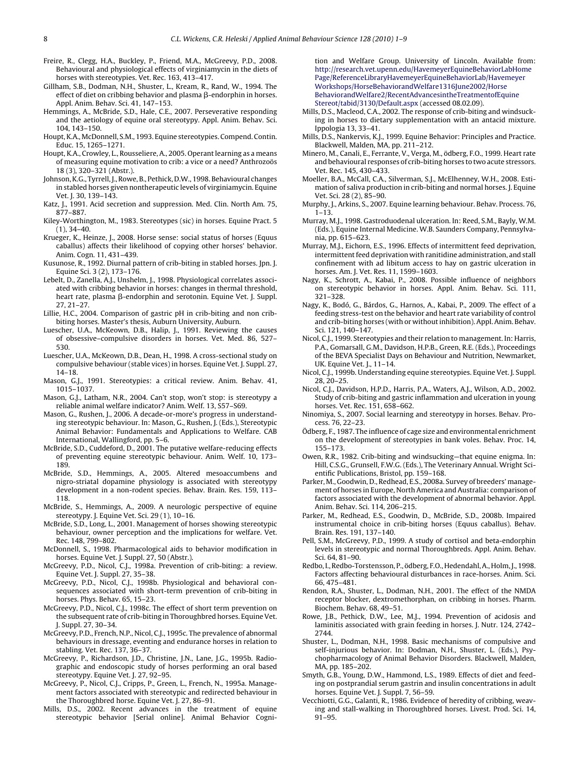- <span id="page-7-0"></span>Freire, R., Clegg, H.A., Buckley, P., Friend, M.A., McGreevy, P.D., 2008. Behavioural and physiological effects of virginiamycin in the diets of horses with stereotypies. Vet. Rec. 163, 413–417.
- Gillham, S.B., Dodman, N.H., Shuster, L., Kream, R., Rand, W., 1994. The effect of diet on cribbing behavior and plasma  $\beta$ -endorphin in horses. Appl. Anim. Behav. Sci. 41, 147–153.
- Hemmings, A., McBride, S.D., Hale, C.E., 2007. Perseverative responding and the aetiology of equine oral stereotypy. Appl. Anim. Behav. Sci. 104, 143–150.
- Houpt, K.A., McDonnell, S.M., 1993. Equine stereotypies. Compend. Contin. Educ. 15, 1265–1271.
- Houpt, K.A., Crowley, L., Rousseliere, A., 2005. Operant learning as a means of measuring equine motivation to crib: a vice or a need? Anthrozoös 18 (3), 320–321 (Abstr.).
- Johnson, K.G., Tyrrell, J., Rowe, B., Pethick, D.W., 1998. Behavioural changes in stabled horses given nontherapeutic levels of virginiamycin. Equine Vet. J. 30, 139–143.
- Katz, J., 1991. Acid secretion and suppression. Med. Clin. North Am. 75, 877–887.
- Kiley-Worthington, M., 1983. Stereotypes (sic) in horses. Equine Pract. 5  $(1), 34-40.$
- Krueger, K., Heinze, J., 2008. Horse sense: social status of horses (Equus caballus) affects their likelihood of copying other horses' behavior. Anim. Cogn. 11, 431–439.
- Kusunose, R., 1992. Diurnal pattern of crib-biting in stabled horses. Jpn. J. Equine Sci. 3 (2), 173–176.
- Lebelt, D., Zanella, A.J., Unshelm, J., 1998. Physiological correlates associated with cribbing behavior in horses: changes in thermal threshold, heart rate, plasma β-endorphin and serotonin. Equine Vet. J. Suppl. 27, 21–27.
- Lillie, H.C., 2004. Comparison of gastric pH in crib-biting and non cribbiting horses. Master's thesis, Auburn University, Auburn.
- Luescher, U.A., McKeown, D.B., Halip, J., 1991. Reviewing the causes of obsessive–compulsive disorders in horses. Vet. Med. 86, 527– 530.
- Luescher, U.A., McKeown, D.B., Dean, H., 1998. A cross-sectional study on compulsive behaviour (stable vices) in horses. Equine Vet. J. Suppl. 27, 14–18.
- Mason, G.J., 1991. Stereotypies: a critical review. Anim. Behav. 41, 1015–1037.
- Mason, G.J., Latham, N.R., 2004. Can't stop, won't stop: is stereotypy a reliable animal welfare indicator? Anim. Welf. 13, S57–S69.
- Mason, G., Rushen, J., 2006. A decade-or-more's progress in understanding stereotypic behaviour. In: Mason, G., Rushen, J. (Eds.), Stereotypic Animal Behavior: Fundamentals and Applications to Welfare. CAB International, Wallingford, pp. 5–6.
- McBride, S.D., Cuddeford, D., 2001. The putative welfare-reducing effects of preventing equine stereotypic behaviour. Anim. Welf. 10, 173– 189.
- McBride, S.D., Hemmings, A., 2005. Altered mesoaccumbens and nigro-striatal dopamine physiology is associated with stereotypy development in a non-rodent species. Behav. Brain. Res. 159, 113– 118.
- McBride, S., Hemmings, A., 2009. A neurologic perspective of equine stereotypy. J. Equine Vet. Sci. 29 (1), 10–16.
- McBride, S.D., Long, L., 2001. Management of horses showing stereotypic behaviour, owner perception and the implications for welfare. Vet. Rec. 148, 799–802.
- McDonnell, S., 1998. Pharmacological aids to behavior modification in horses. Equine Vet. J. Suppl. 27, 50 (Abstr.).
- McGreevy, P.D., Nicol, C.J., 1998a. Prevention of crib-biting: a review. Equine Vet. J. Suppl. 27, 35–38.
- McGreevy, P.D., Nicol, C.J., 1998b. Physiological and behavioral consequences associated with short-term prevention of crib-biting in horses. Phys. Behav. 65, 15–23.
- McGreevy, P.D., Nicol, C.J., 1998c. The effect of short term prevention on the subsequent rate of crib-biting in Thoroughbred horses. Equine Vet. J. Suppl. 27, 30–34.
- McGreevy, P.D., French, N.P., Nicol, C.J., 1995c. The prevalence of abnormal behaviours in dressage, eventing and endurance horses in relation to stabling. Vet. Rec. 137, 36–37.
- McGreevy, P., Richardson, J.D., Christine, J.N., Lane, J.G., 1995b. Radiographic and endoscopic study of horses performing an oral based stereotypy. Equine Vet. J. 27, 92–95.
- McGreevy, P., Nicol, C.J., Cripps, P., Green, L., French, N., 1995a. Management factors associated with stereotypic and redirected behaviour in the Thoroughbred horse. Equine Vet. J. 27, 86–91.
- Mills, D.S., 2002. Recent advances in the treatment of equine stereotypic behavior [Serial online]. Animal Behavior Cogni-

tion and Welfare Group. University of Lincoln. Available from: [http://research.vet.upenn.edu/HavemeyerEquineBehaviorLabHome](http://research.vet.upenn.edu/HavemeyerEquineBehaviorLabHomePage/ReferenceLibraryHavemeyerEquineBehaviorLab/HavemeyerWorkshops/HorseBehaviorandWelfare1316June2002/HorseBehaviorandWelfare2/RecentAdvancesintheTreatmentofEquineStereot/tabid/3130/Defa) [Page/ReferenceLibraryHavemeyerEquineBehaviorLab/Havemeyer](http://research.vet.upenn.edu/HavemeyerEquineBehaviorLabHomePage/ReferenceLibraryHavemeyerEquineBehaviorLab/HavemeyerWorkshops/HorseBehaviorandWelfare1316June2002/HorseBehaviorandWelfare2/RecentAdvancesintheTreatmentofEquineStereot/tabid/3130/Defa) Workshops/HorseBehaviorandWelfare1316June2002/Horse BehaviorandWelfare2/RecentAdvancesintheTreatmentofEquine Stereot/tabid/3130/Default.aspx (accessed 08.02.09).

- Mills, D.S., Macleod, C.A., 2002. The response of crib-biting and windsucking in horses to dietary supplementation with an antacid mixture. Ippologia 13, 33–41.
- Mills, D.S., Nankervis, K.J., 1999. Equine Behavior: Principles and Practice. Blackwell, Malden, MA, pp. 211–212.
- Minero, M., Canali, E., Ferrante, V., Verga, M., ödberg, F.O., 1999. Heart rate and behavioural responses of crib-biting horses to two acute stressors. Vet. Rec. 145, 430–433.
- Moeller, B.A., McCall, C.A., Silverman, S.J., McElhenney, W.H., 2008. Estimation of saliva production in crib-biting and normal horses. J. Equine Vet. Sci. 28 (2), 85–90.
- Murphy, J., Arkins, S., 2007. Equine learning behaviour. Behav. Process. 76, 1–13.
- Murray, M.J., 1998. Gastroduodenal ulceration. In: Reed, S.M., Bayly, W.M. (Eds.), Equine Internal Medicine. W.B. Saunders Company, Pennsylvania, pp. 615–623.
- Murray, M.J., Eichorn, E.S., 1996. Effects of intermittent feed deprivation, intermittent feed deprivation with ranitidine administration, and stall confinement with ad libitum access to hay on gastric ulceration in horses. Am. J. Vet. Res. 11, 1599–1603.
- Nagy, K., Schrott, A., Kabai, P., 2008. Possible influence of neighbors on stereotypic behavior in horses. Appl. Anim. Behav. Sci. 111, 321–328.
- Nagy, K., Bodó, G., Bárdos, G., Harnos, A., Kabai, P., 2009. The effect of a feeding stress-test on the behavior and heart rate variability of control and crib-biting horses (with or without inhibition). Appl. Anim. Behav. Sci. 121, 140–147.
- Nicol, C.J., 1999. Stereotypies and their relation to management. In: Harris, P.A., Gomarsall, G.M., Davidson, H.P.B., Green, R.E. (Eds.), Proceedings of the BEVA Specialist Days on Behaviour and Nutrition, Newmarket, UK. Equine Vet. J., 11–14.
- Nicol, C.J., 1999b. Understanding equine stereotypies. Equine Vet. J. Suppl. 28, 20–25.
- Nicol, C.J., Davidson, H.P.D., Harris, P.A., Waters, A.J., Wilson, A.D., 2002. Study of crib-biting and gastric inflammation and ulceration in young horses. Vet. Rec. 151, 658–662.
- Ninomiya, S., 2007. Social learning and stereotypy in horses. Behav. Process. 76, 22–23.
- Ödberg, F., 1987. The influence of cage size and environmental enrichment on the development of stereotypies in bank voles. Behav. Proc. 14, 155–173.
- Owen, R.R., 1982. Crib-biting and windsucking—that equine enigma. In: Hill, C.S.G., Grunsell, F.W.G. (Eds.), The Veterinary Annual. Wright Scientific Publications, Bristol, pp. 159–168.
- Parker, M., Goodwin, D., Redhead, E.S., 2008a. Survey of breeders' management of horses in Europe, North America and Australia: comparison of factors associated with the development of abnormal behavior. Appl. Anim. Behav. Sci. 114, 206–215.
- Parker, M., Redhead, E.S., Goodwin, D., McBride, S.D., 2008b. Impaired instrumental choice in crib-biting horses (Equus caballus). Behav. Brain. Res. 191, 137–140.
- Pell, S.M., McGreevy, P.D., 1999. A study of cortisol and beta-endorphin levels in stereotypic and normal Thoroughbreds. Appl. Anim. Behav. Sci. 64, 81–90.
- Redbo, I., Redbo-Torstensson, P., ödberg, F.O., Hedendahl, A., Holm, J., 1998. Factors affecting behavioural disturbances in race-horses. Anim. Sci. 66, 475–481.
- Rendon, R.A., Shuster, L., Dodman, N.H., 2001. The effect of the NMDA receptor blocker, dextromethorphan, on cribbing in horses. Pharm. Biochem. Behav. 68, 49–51.
- Rowe, J.B., Pethick, D.W., Lee, M.J., 1994. Prevention of acidosis and laminitis associated with grain feeding in horses. J. Nutr. 124, 2742– 2744.
- Shuster, L., Dodman, N.H., 1998. Basic mechanisms of compulsive and self-injurious behavior. In: Dodman, N.H., Shuster, L. (Eds.), Psychopharmacology of Animal Behavior Disorders. Blackwell, Malden, MA, pp. 185–202.
- Smyth, G.B., Young, D.W., Hammond, L.S., 1989. Effects of diet and feeding on postprandial serum gastrin and insulin concentrations in adult horses. Equine Vet. J. Suppl. 7, 56–59.
- Vecchiotti, G.G., Galanti, R., 1986. Evidence of heredity of cribbing, weaving and stall-walking in Thoroughbred horses. Livest. Prod. Sci. 14, 91–95.